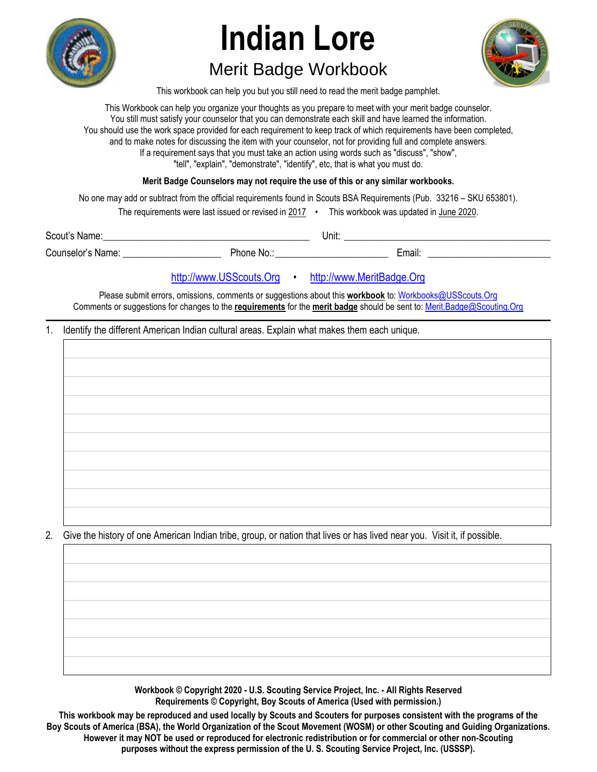

# **Indian Lore**

## Merit Badge Workbook



This workbook can help you but you still need to read the merit badge pamphlet.

This Workbook can help you organize your thoughts as you prepare to meet with your merit badge counselor. You still must satisfy your counselor that you can demonstrate each skill and have learned the information. You should use the work space provided for each requirement to keep track of which requirements have been completed, and to make notes for discussing the item with your counselor, not for providing full and complete answers. If a requirement says that you must take an action using words such as "discuss", "show", "tell", "explain", "demonstrate", "identify", etc, that is what you must do.

**Merit Badge Counselors may not require the use of this or any similar workbooks.**

No one may add or subtract from the official requirements found in Scouts BSA Requirements (Pub. 33216 – SKU 653801).

The requirements were last issued or revised in 2017 • This workbook was updated in June 2020.

Scout's Name: \_\_\_\_\_\_\_\_\_\_\_\_\_\_\_\_\_\_\_\_\_\_\_\_\_\_\_\_\_\_\_\_\_\_\_\_\_\_\_\_\_\_ Unit: \_\_\_\_\_\_\_\_\_\_\_\_\_\_\_\_\_\_\_\_\_\_\_\_\_\_\_\_\_\_\_\_\_\_\_\_\_\_\_\_\_\_ Counselor's Name: \_\_\_\_\_\_\_\_\_\_\_\_\_\_\_\_\_\_\_\_ Phone No.: \_\_\_\_\_\_\_\_\_\_\_\_\_\_\_\_\_\_\_\_\_\_\_ Email: \_\_\_\_\_\_\_\_\_\_\_\_\_\_\_\_\_\_\_\_\_\_\_\_\_

### http://www.USScouts.Org • http://www.MeritBadge.Org

Please submit errors, omissions, comments or suggestions about this **workbook** to: Workbooks@USScouts.Org Comments or suggestions for changes to the **requirements** for the **merit badge** should be sent to: Merit.Badge@Scouting.Org *\_\_\_\_\_\_\_\_\_\_\_\_\_\_\_\_\_\_\_\_\_\_\_\_\_\_\_\_\_\_\_\_\_\_\_\_\_\_\_\_\_\_\_\_\_\_\_\_\_\_\_\_\_\_\_\_\_\_\_\_\_\_\_\_\_\_\_\_\_\_\_\_\_\_\_\_\_\_\_\_\_\_\_\_\_\_\_\_\_\_\_\_\_\_\_\_\_\_\_\_\_\_\_\_\_\_\_\_\_\_\_\_\_\_\_\_\_\_\_\_\_\_\_\_\_\_\_\_\_\_\_\_\_\_\_\_\_\_\_\_\_\_* 

#### 1. Identify the different American Indian cultural areas. Explain what makes them each unique.



2. Give the history of one American Indian tribe, group, or nation that lives or has lived near you. Visit it, if possible.

**Workbook © Copyright 2020 - U.S. Scouting Service Project, Inc. - All Rights Reserved Requirements © Copyright, Boy Scouts of America (Used with permission.)** 

**This workbook may be reproduced and used locally by Scouts and Scouters for purposes consistent with the programs of the Boy Scouts of America (BSA), the World Organization of the Scout Movement (WOSM) or other Scouting and Guiding Organizations. However it may NOT be used or reproduced for electronic redistribution or for commercial or other non-Scouting purposes without the express permission of the U. S. Scouting Service Project, Inc. (USSSP).**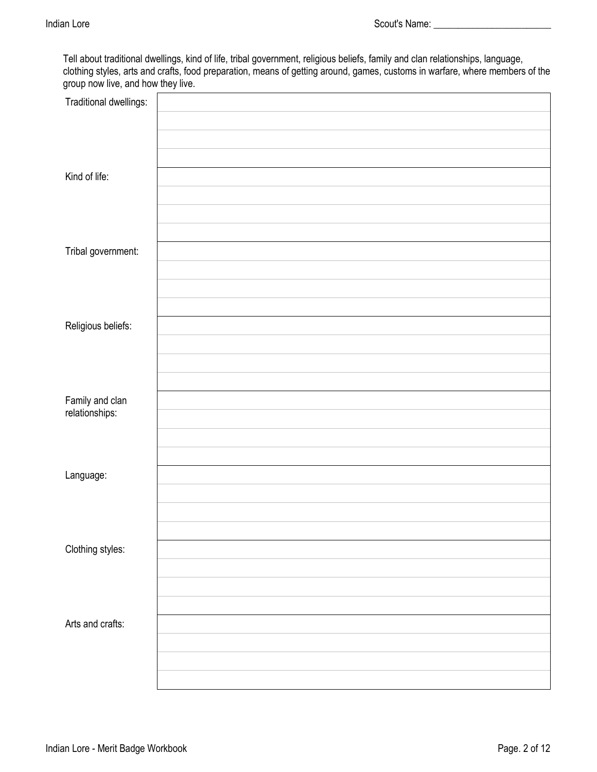Tell about traditional dwellings, kind of life, tribal government, religious beliefs, family and clan relationships, language, clothing styles, arts and crafts, food preparation, means of getting around, games, customs in warfare, where members of the group now live, and how they live.

| Traditional dwellings:            |  |
|-----------------------------------|--|
|                                   |  |
|                                   |  |
| Kind of life:                     |  |
|                                   |  |
|                                   |  |
| Tribal government:                |  |
|                                   |  |
|                                   |  |
| Religious beliefs:                |  |
|                                   |  |
|                                   |  |
|                                   |  |
| Family and clan<br>relationships: |  |
|                                   |  |
|                                   |  |
| Language:                         |  |
|                                   |  |
|                                   |  |
| Clothing styles:                  |  |
|                                   |  |
|                                   |  |
| Arts and crafts:                  |  |
|                                   |  |
|                                   |  |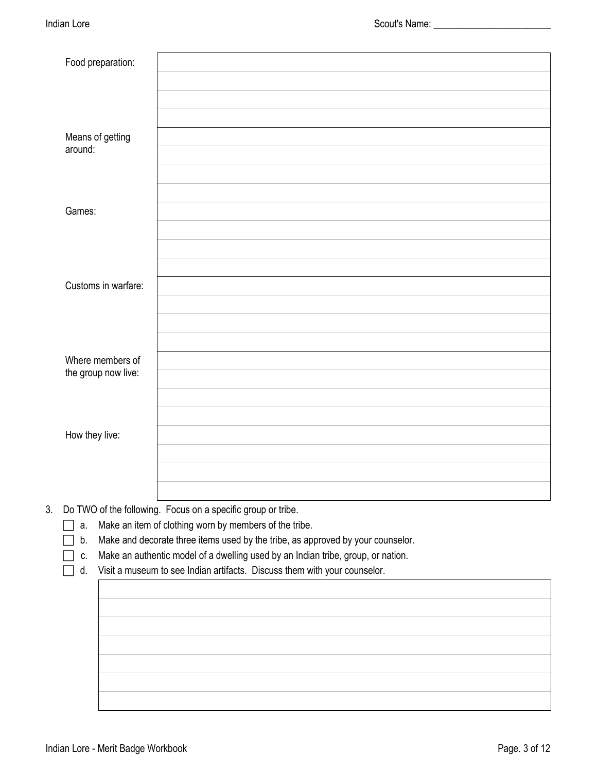|                                                                                                                                                                                                                                                                                               | Food preparation:                       |    |
|-----------------------------------------------------------------------------------------------------------------------------------------------------------------------------------------------------------------------------------------------------------------------------------------------|-----------------------------------------|----|
|                                                                                                                                                                                                                                                                                               | Means of getting<br>around:             |    |
|                                                                                                                                                                                                                                                                                               | Games:                                  |    |
|                                                                                                                                                                                                                                                                                               | Customs in warfare:                     |    |
|                                                                                                                                                                                                                                                                                               | Where members of<br>the group now live: |    |
|                                                                                                                                                                                                                                                                                               | How they live:                          |    |
| Do TWO of the following. Focus on a specific group or tribe.<br>Make an item of clothing worn by members of the tribe.<br>Make and decorate three items used by the tribe, as approved by your counselor.<br>Make an authentic model of a dwelling used by an Indian tribe, group, or nation. | a.<br>b.<br>c.<br>d.                    |    |
|                                                                                                                                                                                                                                                                                               |                                         |    |
| Visit a museum to see Indian artifacts. Discuss them with your counselor.                                                                                                                                                                                                                     |                                         | 3. |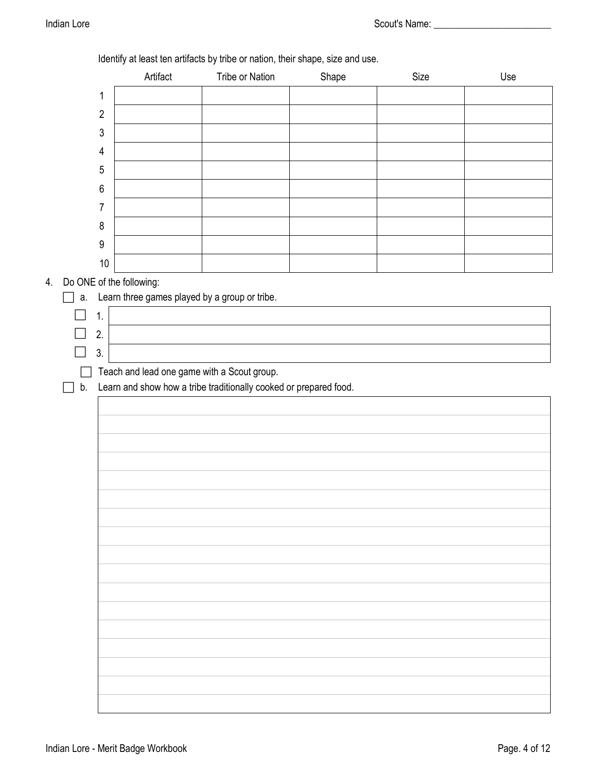|    |                          | Artifact | Identify at least ten artifacts by tribe or nation, their shape, size and use.<br>Tribe or Nation | Shape | Size | Use |
|----|--------------------------|----------|---------------------------------------------------------------------------------------------------|-------|------|-----|
|    | $\mathbf 1$              |          |                                                                                                   |       |      |     |
|    | $\overline{2}$           |          |                                                                                                   |       |      |     |
|    | $\sqrt{3}$               |          |                                                                                                   |       |      |     |
|    | $\overline{4}$           |          |                                                                                                   |       |      |     |
|    | 5                        |          |                                                                                                   |       |      |     |
|    | $\,6\,$                  |          |                                                                                                   |       |      |     |
|    | 7                        |          |                                                                                                   |       |      |     |
|    | $\, 8$                   |          |                                                                                                   |       |      |     |
|    | $\boldsymbol{9}$         |          |                                                                                                   |       |      |     |
|    | $10\,$                   |          |                                                                                                   |       |      |     |
| 4. | Do ONE of the following: |          |                                                                                                   |       |      |     |
| a. | 1.                       |          | Learn three games played by a group or tribe.                                                     |       |      |     |
|    | 2.                       |          |                                                                                                   |       |      |     |
|    | 3.                       |          |                                                                                                   |       |      |     |
|    |                          |          | Teach and lead one game with a Scout group.                                                       |       |      |     |
| b. |                          |          | Learn and show how a tribe traditionally cooked or prepared food.                                 |       |      |     |
|    |                          |          |                                                                                                   |       |      |     |
|    |                          |          |                                                                                                   |       |      |     |
|    |                          |          |                                                                                                   |       |      |     |
|    |                          |          |                                                                                                   |       |      |     |
|    |                          |          |                                                                                                   |       |      |     |
|    |                          |          |                                                                                                   |       |      |     |
|    |                          |          |                                                                                                   |       |      |     |
|    |                          |          |                                                                                                   |       |      |     |
|    |                          |          |                                                                                                   |       |      |     |
|    |                          |          |                                                                                                   |       |      |     |
|    |                          |          |                                                                                                   |       |      |     |
|    |                          |          |                                                                                                   |       |      |     |
|    |                          |          |                                                                                                   |       |      |     |
|    |                          |          |                                                                                                   |       |      |     |
|    |                          |          |                                                                                                   |       |      |     |
|    |                          |          |                                                                                                   |       |      |     |
|    |                          |          |                                                                                                   |       |      |     |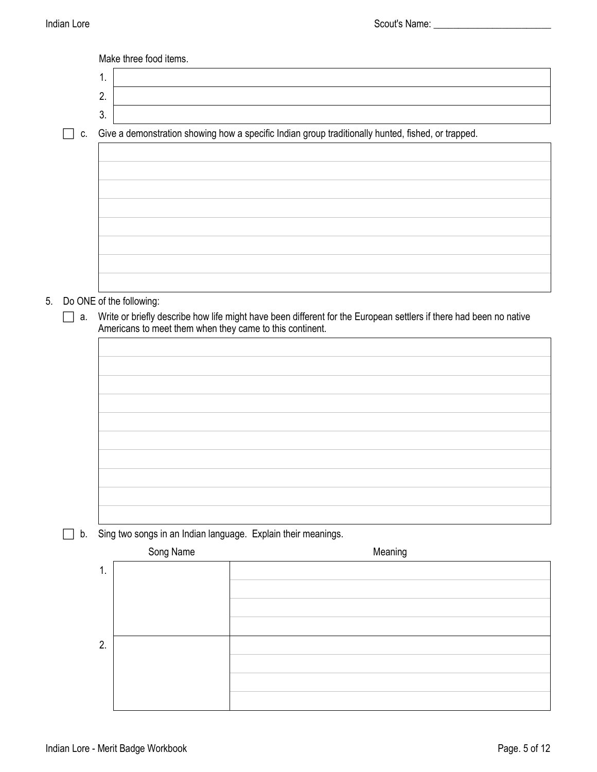|    |    | Make three food items.                                                                                                                                                         |
|----|----|--------------------------------------------------------------------------------------------------------------------------------------------------------------------------------|
|    |    | 1.                                                                                                                                                                             |
|    |    | 2.                                                                                                                                                                             |
|    |    | 3.                                                                                                                                                                             |
|    | C. | Give a demonstration showing how a specific Indian group traditionally hunted, fished, or trapped.                                                                             |
|    |    |                                                                                                                                                                                |
|    |    |                                                                                                                                                                                |
|    |    |                                                                                                                                                                                |
|    |    |                                                                                                                                                                                |
|    |    |                                                                                                                                                                                |
|    |    |                                                                                                                                                                                |
|    |    |                                                                                                                                                                                |
|    |    |                                                                                                                                                                                |
| 5. |    | Do ONE of the following:                                                                                                                                                       |
|    | а. | Write or briefly describe how life might have been different for the European settlers if there had been no native<br>Americans to meet them when they came to this continent. |
|    |    |                                                                                                                                                                                |
|    |    |                                                                                                                                                                                |
|    |    |                                                                                                                                                                                |
|    |    |                                                                                                                                                                                |
|    |    |                                                                                                                                                                                |

b. Sing two songs in an Indian language. Explain their meanings.

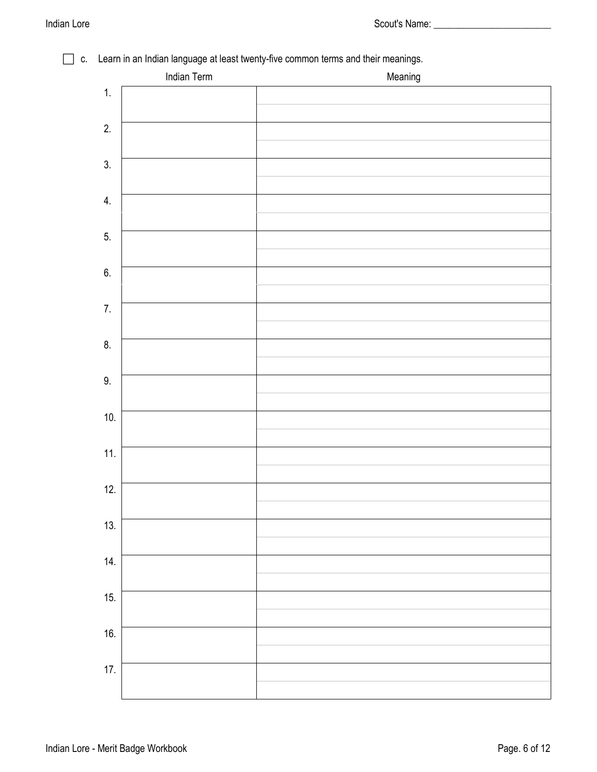### c. Learn in an Indian language at least twenty-five common terms and their meanings. Indian Term **Meaning** and the matter of the Meaning

|     | indian Term | <b>Meaning</b> |
|-----|-------------|----------------|
| 1.  |             |                |
| 2.  |             |                |
|     |             |                |
| 3.  |             |                |
|     |             |                |
| 4.  |             |                |
| 5.  |             |                |
|     |             |                |
| 6.  |             |                |
|     |             |                |
| 7.  |             |                |
| 8.  |             |                |
|     |             |                |
| 9.  |             |                |
|     |             |                |
| 10. |             |                |
| 11. |             |                |
|     |             |                |
| 12. |             |                |
|     |             |                |
| 13. |             |                |
| 14. |             |                |
|     |             |                |
| 15. |             |                |
|     |             |                |
| 16. |             |                |
| 17. |             |                |
|     |             |                |
|     |             |                |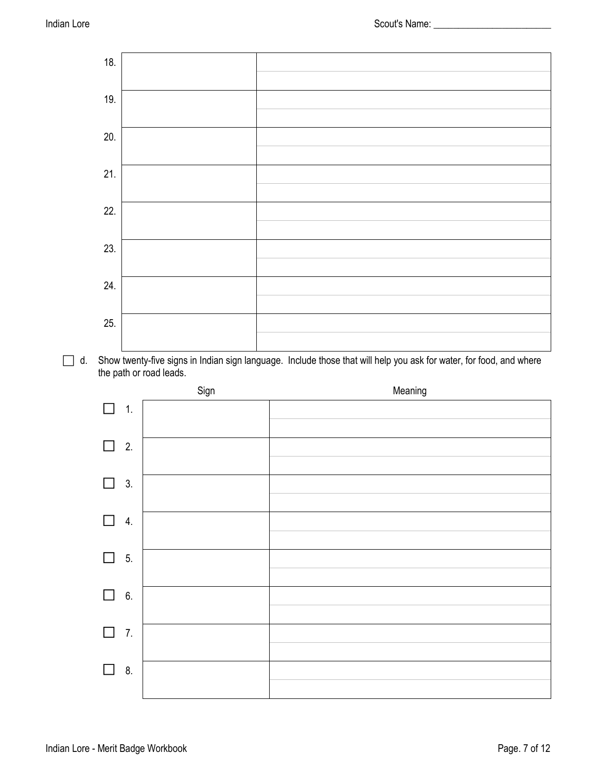

 d. Show twenty-five signs in Indian sign language. Include those that will help you ask for water, for food, and where the path or road leads.

|                            | Sign | Meaning |
|----------------------------|------|---------|
| $\Box$<br>$\mathbf{1}$ .   |      |         |
| 2.<br>$\Box$               |      |         |
| 3.<br>$\Box$               |      |         |
| 4.<br>$\Box$               |      |         |
| $\Box$<br>5.               |      |         |
| 6.<br>$\Box$               |      |         |
| $\overline{7}$ .<br>$\Box$ |      |         |
| 8.<br>$\Box$               |      |         |
|                            |      |         |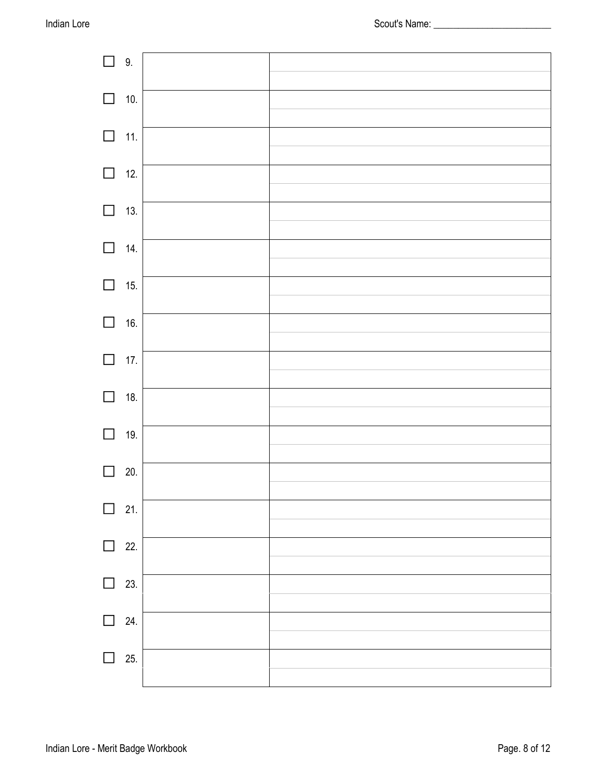| $\Box$ 9.  |     |  |
|------------|-----|--|
| $\Box$ 10. |     |  |
|            |     |  |
| $\Box$ 11. |     |  |
| $\Box$ 12. |     |  |
|            |     |  |
| $\Box$ 13. |     |  |
| $\Box$ 14. |     |  |
|            |     |  |
| $\Box$     | 15. |  |
| $\Box$ 16. |     |  |
|            |     |  |
| $\Box$ 17. |     |  |
| $\Box$ 18. |     |  |
|            |     |  |
| $\Box$     | 19. |  |
|            | 20. |  |
| $\Box$     | 21. |  |
|            |     |  |
| $\Box$     | 22. |  |
| $\Box$     | 23. |  |
|            |     |  |
| l 1        | 24. |  |
|            | 25. |  |
|            |     |  |
|            |     |  |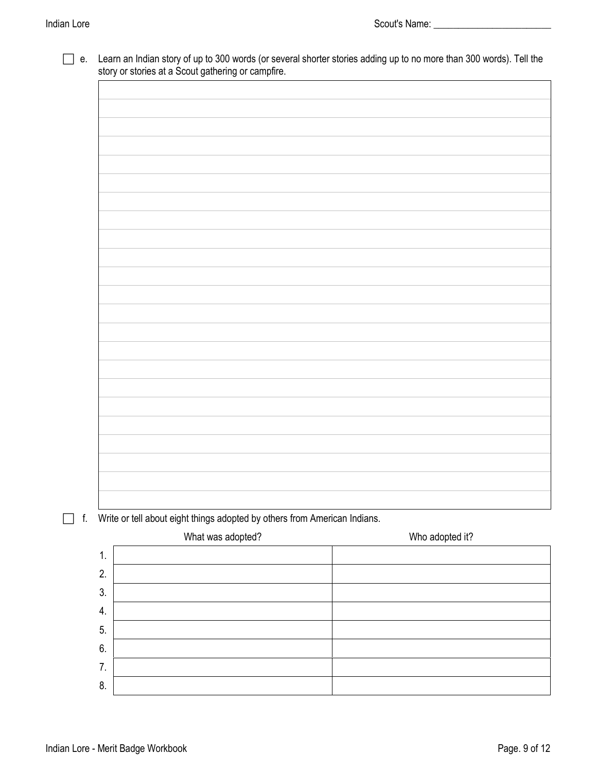|    | Write or tell about eight things adopted by others from American Indians. |  |                 |  |
|----|---------------------------------------------------------------------------|--|-----------------|--|
|    | What was adopted?                                                         |  | Who adopted it? |  |
| 1. |                                                                           |  |                 |  |
|    |                                                                           |  |                 |  |
| 2. |                                                                           |  |                 |  |

6. 7. 8.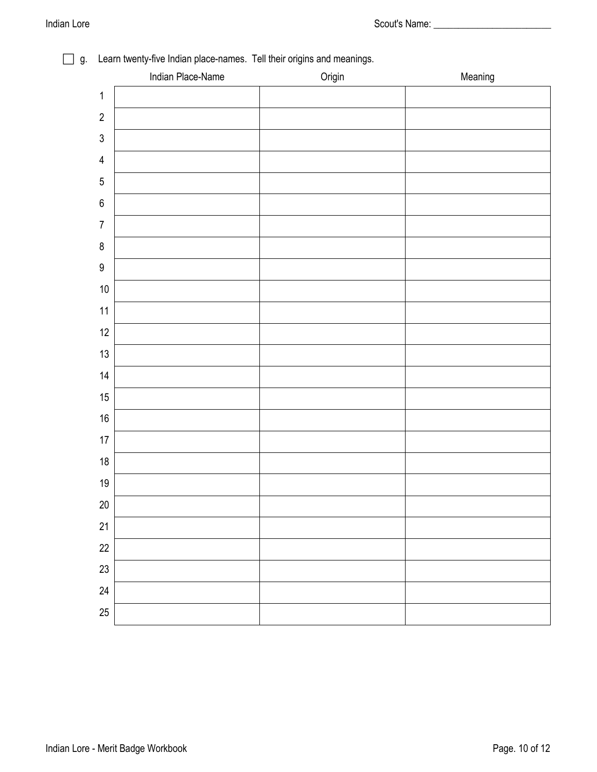|                         | $\cdot$<br>. .<br>Indian Place-Name | $\ddot{\phantom{0}}$<br>$\check{\phantom{a}}$<br>Origin | Meaning |
|-------------------------|-------------------------------------|---------------------------------------------------------|---------|
| $\mathbf 1$             |                                     |                                                         |         |
| $\sqrt{2}$              |                                     |                                                         |         |
| $\mathfrak{Z}$          |                                     |                                                         |         |
| $\overline{\mathbf{4}}$ |                                     |                                                         |         |
| $\overline{5}$          |                                     |                                                         |         |
| $\boldsymbol{6}$        |                                     |                                                         |         |
| $\boldsymbol{7}$        |                                     |                                                         |         |
| $\bf 8$                 |                                     |                                                         |         |
| $\boldsymbol{9}$        |                                     |                                                         |         |
| $10\,$                  |                                     |                                                         |         |
| 11                      |                                     |                                                         |         |
| 12                      |                                     |                                                         |         |
| $13$                    |                                     |                                                         |         |
| $14$                    |                                     |                                                         |         |
| 15                      |                                     |                                                         |         |
| $16\,$                  |                                     |                                                         |         |
| $17\,$                  |                                     |                                                         |         |
| $18\,$                  |                                     |                                                         |         |
| 19                      |                                     |                                                         |         |
| 20                      |                                     |                                                         |         |
| 21                      |                                     |                                                         |         |
| 22                      |                                     |                                                         |         |
| 23                      |                                     |                                                         |         |
| 24                      |                                     |                                                         |         |
| 25                      |                                     |                                                         |         |

#### g. Learn twenty-five Indian place-names. Tell their origins and meanings.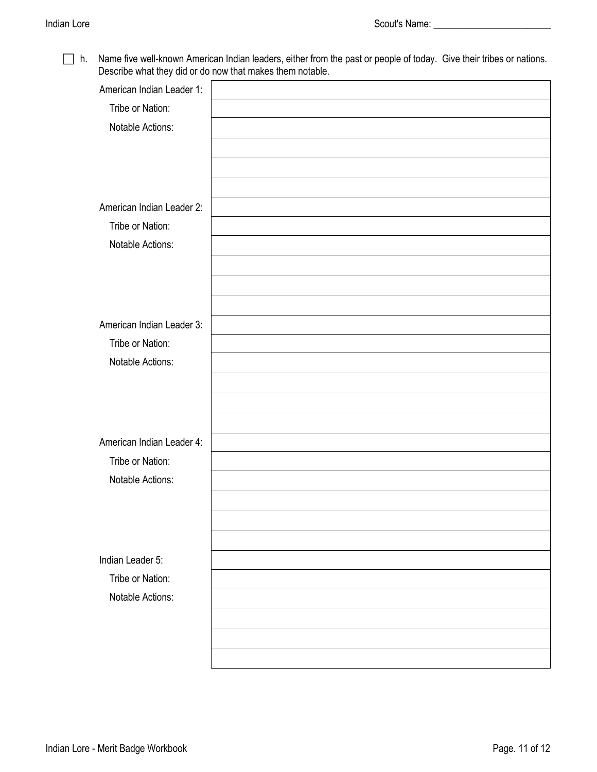□ h. Name five well-known American Indian leaders, either from the past or people of today. Give their tribes or nations. Describe what they did or do now that makes them notable.

| American Indian Leader 1: |  |
|---------------------------|--|
| Tribe or Nation:          |  |
| Notable Actions:          |  |
|                           |  |
|                           |  |
|                           |  |
| American Indian Leader 2: |  |
| Tribe or Nation:          |  |
| Notable Actions:          |  |
|                           |  |
|                           |  |
|                           |  |
|                           |  |
| American Indian Leader 3: |  |
| Tribe or Nation:          |  |
| Notable Actions:          |  |
|                           |  |
|                           |  |
|                           |  |
| American Indian Leader 4: |  |
| Tribe or Nation:          |  |
| Notable Actions:          |  |
|                           |  |
|                           |  |
|                           |  |
|                           |  |
| Indian Leader 5:          |  |
| Tribe or Nation:          |  |
| Notable Actions:          |  |
|                           |  |
|                           |  |
|                           |  |